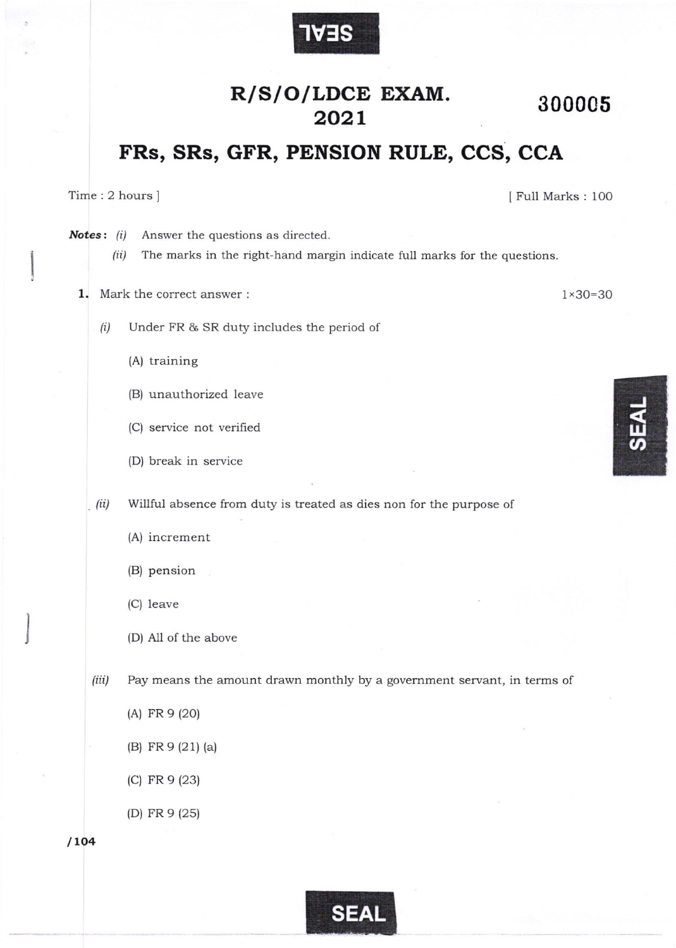

## R/S/O/LDCE EXAM. 2021 300005

## FRs, SRs, GFR, PENSION RULE, CCS, CCA

Time:2hours]

I Full Marks : IOO

Notes: (i) Answer the questions as directed.

> (ii) The marks in the right-hand margin indicate full marks for the questions

1. Mark the correct answer  $\colon$  1 x30=30

- $(i)$  Under FR & SR duty includes the period of
	- (A) training
	- (B) unauthorized leave
	- (C) service not verified
	- (D) break in service

(ii) Willful absence from duty is treated as dies non for the purpose of

- (A) increment
- (B) pension
- (C) leave
- (D) All of the above

(iit) Pay means the amount drawn monthly by a government servant, in terms of

- (A) FR 9 (20)
- (B) FR 9 (21) (a)
- (c) FR e (23)
- (D) FR 9 (2s)

 $/104$ 

l J



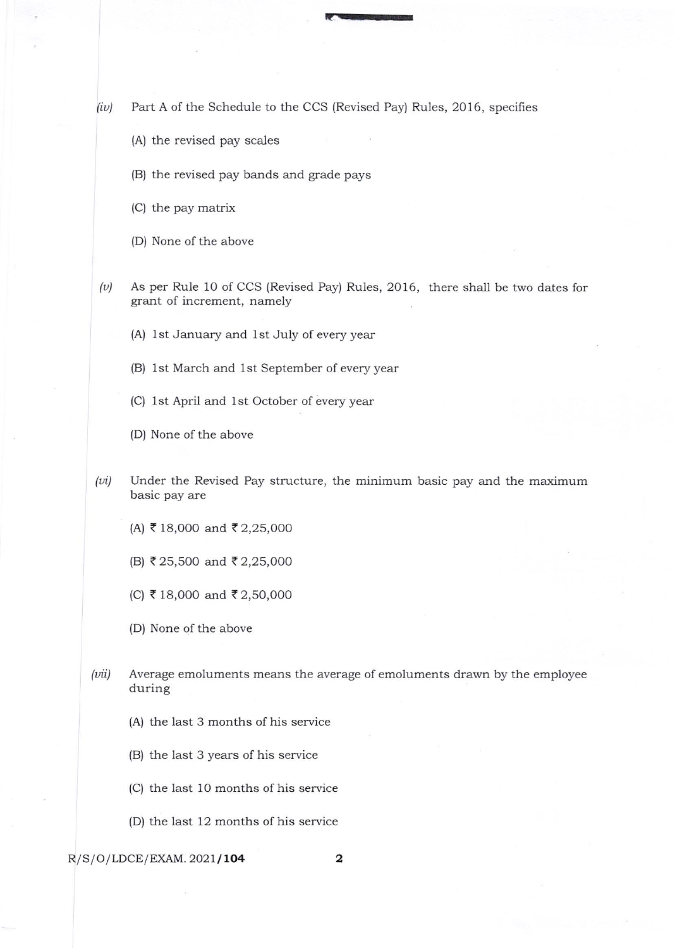$(iv)$  Part A of the Schedule to the CCS (Revised Pay) Rules, 2016, specifies

- (A) the revised pay scales
- (B) the revised pay bands and grade pays
- (C) the pay matrix
- (D) None of the above
- $(v)$  As per Rule 10 of CCS (Revised Pay) Rules, 2016, there shall be two dates for grant of increment, namely
	- (A) lst January and 1st July of every year
	- (B) lst March and 1st September of every year
	- (C) 1st April and 1st October of every year
	- (D) None of the above
- $(vi)$  Under the Revised Pay structure, the minimum basic pay and the maximum basic pay are
	- (A) ₹18,000 and ₹2,25,000
	- (B) ₹25,500 and ₹2,25,000
	- (C) < 18,OOO and { 2,50,000
	- (D) None of the above
- $(vii)$  Average emoluments means the average of emoluments drawn by the employee during
	- (A) the last 3 months of his service
	- (B) the last 3 years of his service
	- (C) the last 10 months of his service
	- (D) the last 12 months of his service

## $R/S/O/LDCE/EXAMPLEXAM. 2021/104$  2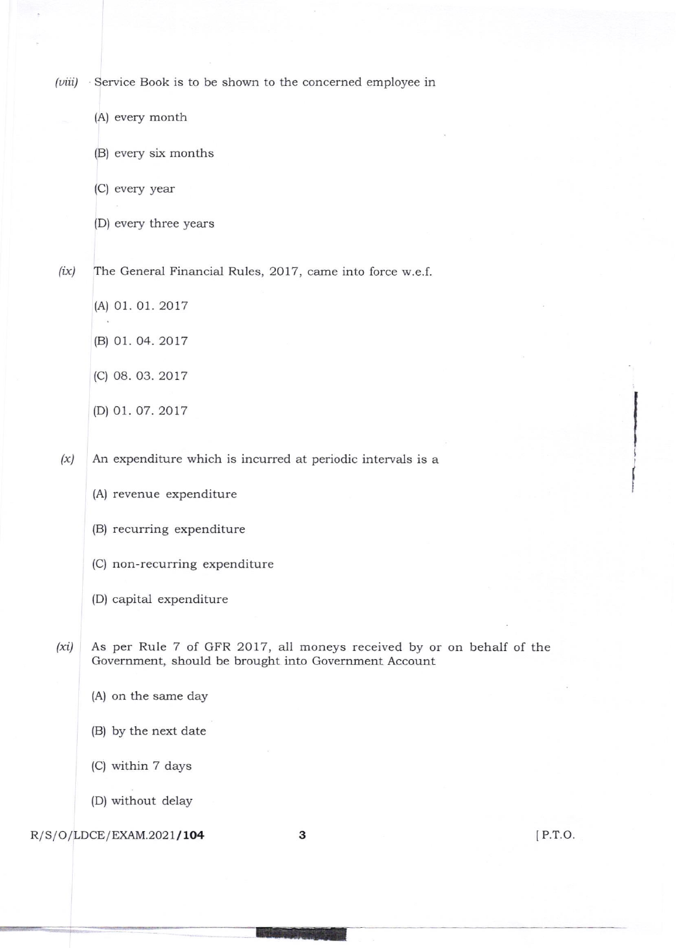(*viii*) Service Book is to be shown to the concerned employee in

(A) every month

(B) every six months

(C) every year

(D) every three years

 $(ix)$  The General Financial Rules, 2017, came into force w.e.f.

- (A) 01. 01. 2017
- (B) 01.04.2017
- (c) 08. 03. 2017
- (D) 01.07.2017

 $(x)$  An expenditure which is incurred at periodic intervals is a

(A) revenue expenditure

(B) recurring expenditure

- (C) non recurring expenditure
- (D) capital expenditure

 $(xi)$  As per Rule 7 of GFR 2017, all moneys received by or on behalf of the Government, should be brought into Government Account

- (A) on the same day
- (B) by the next date

(C) within 7 days

{D) without delay

## $R/S/O/LDCE/EXAMPLEXAM.2021/104$  3

lP.r.o.

i I I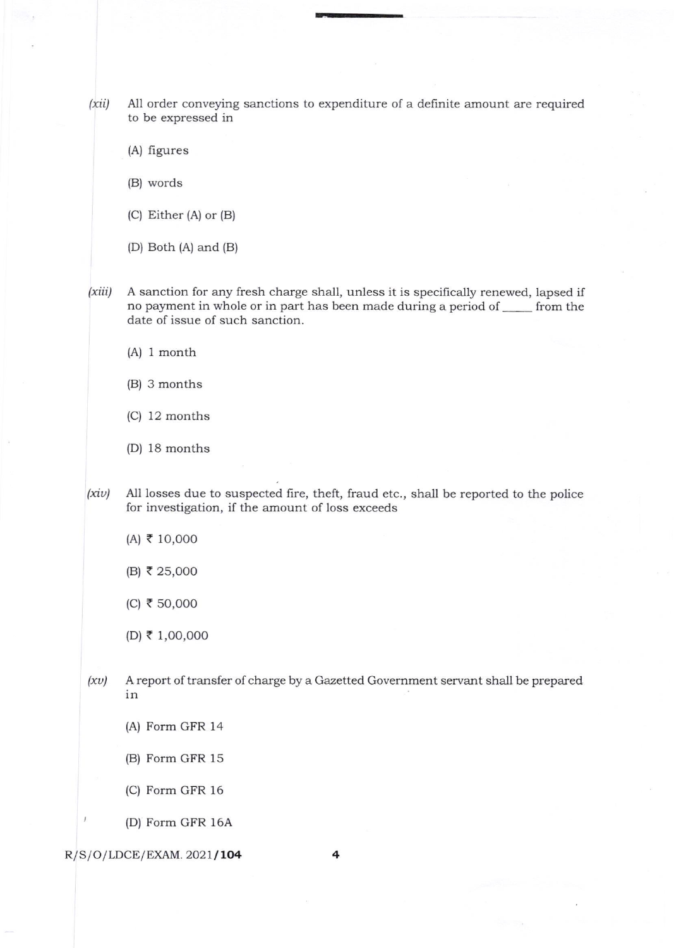$(xii)$  All order conveying sanctions to expenditure of a definite amount are required to be expressed in

--

(A) figures

(B) words

- (C) Either (A) or (B)
- (D) Both (A) and (B)

(xiit) A sanction for any fresh charge shall, unless it is specifically renewed, lapsed if no payment in whole or in part has been made during a period of semple on the date of issue of such sanction.

- (A) I month
- (B) 3 months
- (C) 12 months
- (D) 18 months
- $(xiv)$  All losses due to suspected fire, theft, fraud etc., shall be reported to the police for investigation, if the amount of loss exceeds
	- $(A)$  ₹ 10,000
	- (B) < 2s,0oo
	- $(C)$  ₹ 50,000
	- (D) { 1,OO,OOO
- $(xv)$  A report of transfer of charge by a Gazetted Government servant shall be prepared in
	- (A) Form GFR 14
	- (B) Form GFR 15
	- (C) Form GFR 16
	- (D) Form GFR 16A

 $R/S/O/LDCE/EXAMPLEXAM. 2021/104$  4